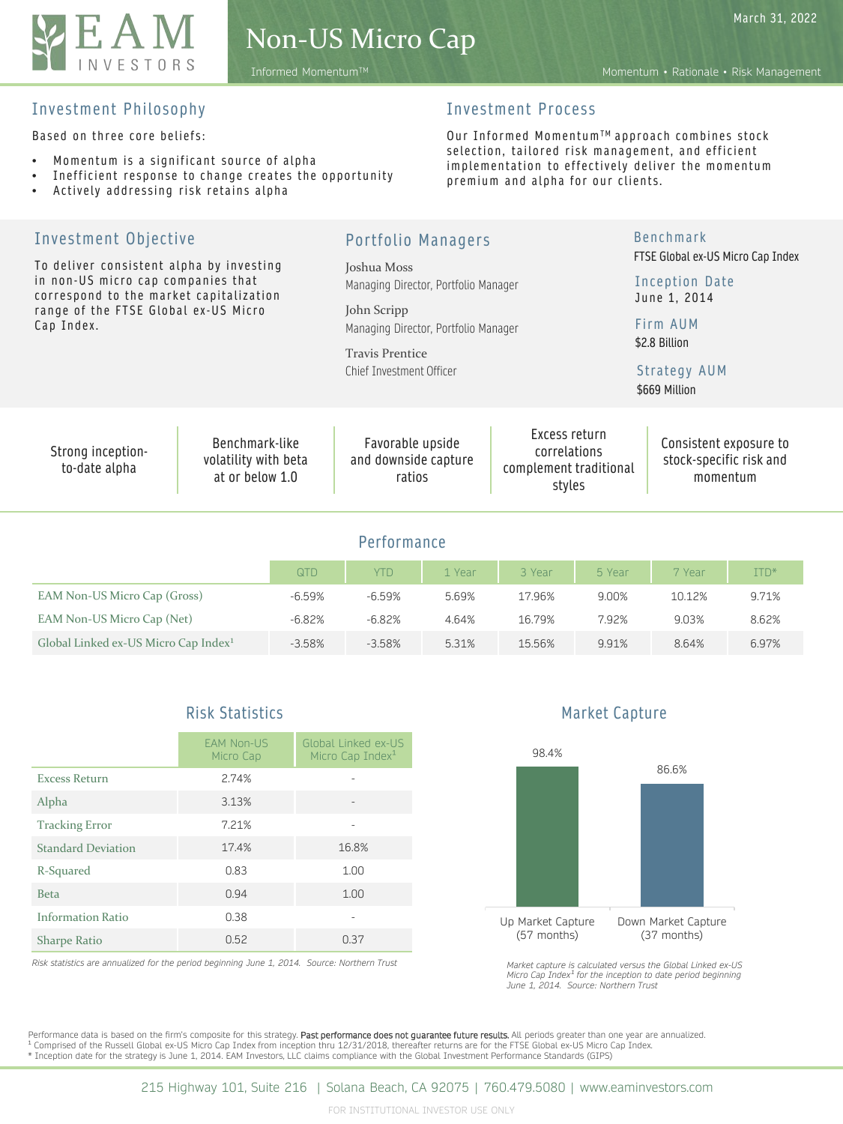

Based on three core beliefs:

- Momentum is a significant source of alpha
- Inefficient response to change creates the opportunity
- Actively addressing risk retains alpha

#### Investment Process

Our Informed Momentum™ approach combines stock selection, tailored risk management, and efficient implementation to effectively deliver the momentum premium and alpha for our clients.

| Investment Objective<br>To deliver consistent alpha by investing<br>in non-US micro cap companies that<br>correspond to the market capitalization<br>range of the FTSE Global ex-US Micro<br>Cap Index. |                                                           | <b>Portfolio Managers</b>                                                     |                                                                   | <b>Benchmark</b><br>FTSE Global ex-US Micro Cap Index<br>Inception Date<br>June 1, 2014 |  |
|---------------------------------------------------------------------------------------------------------------------------------------------------------------------------------------------------------|-----------------------------------------------------------|-------------------------------------------------------------------------------|-------------------------------------------------------------------|-----------------------------------------------------------------------------------------|--|
|                                                                                                                                                                                                         |                                                           | Joshua Moss<br>Managing Director, Portfolio Manager                           |                                                                   |                                                                                         |  |
|                                                                                                                                                                                                         |                                                           | John Scripp<br>Managing Director, Portfolio Manager<br><b>Travis Prentice</b> |                                                                   | Firm AUM<br>\$2.8 Billion                                                               |  |
|                                                                                                                                                                                                         |                                                           | Chief Investment Officer                                                      |                                                                   | Strategy AUM<br>\$669 Million                                                           |  |
| Strong inception-<br>to-date alpha                                                                                                                                                                      | Benchmark-like<br>volatility with beta<br>at or below 1.0 | Favorable upside<br>and downside capture<br>ratios                            | Excess return<br>correlations<br>complement traditional<br>styles | Consistent exposure to<br>stock-specific risk and<br>momentum                           |  |
|                                                                                                                                                                                                         |                                                           |                                                                               |                                                                   |                                                                                         |  |

|  | Performance |  |  |  |
|--|-------------|--|--|--|
|--|-------------|--|--|--|

|                                                  | QTD      | <b>YTD</b> | 1 Year | 3 Year | 5 Year | 7 Year | ITD*  |
|--------------------------------------------------|----------|------------|--------|--------|--------|--------|-------|
| EAM Non-US Micro Cap (Gross)                     | $-6.59%$ | $-6.59%$   | 5.69%  | 17.96% | 9.00%  | 10.12% | 9.71% |
| EAM Non-US Micro Cap (Net)                       | $-6.82%$ | $-6.82%$   | 4.64%  | 16.79% | 7.92%  | 9.03%  | 8.62% |
| Global Linked ex-US Micro Cap Index <sup>1</sup> | $-3.58%$ | $-3.58%$   | 5.31%  | 15.56% | 9.91%  | 8.64%  | 6.97% |

### Risk Statistics

|                           | <b>EAM Non-US</b><br>Micro Cap | Global Linked ex-US<br>Micro Cap Index <sup>1</sup> |  |  |  |
|---------------------------|--------------------------------|-----------------------------------------------------|--|--|--|
| <b>Excess Return</b>      | 2.74%                          |                                                     |  |  |  |
| Alpha                     | 3.13%                          |                                                     |  |  |  |
| <b>Tracking Error</b>     | 7.21%                          |                                                     |  |  |  |
| <b>Standard Deviation</b> | 17.4%                          | 16.8%                                               |  |  |  |
| R-Squared                 | 0.83                           | 1.00                                                |  |  |  |
| <b>Beta</b>               | 0.94                           | 1.00                                                |  |  |  |
| <b>Information Ratio</b>  | 0.38                           |                                                     |  |  |  |
| <b>Sharpe Ratio</b>       | 0.52                           | 0.37                                                |  |  |  |

*Risk statistics are annualized for the period beginning June 1, 2014. Source: Northern Trust*

#### Market Capture



*Market capture is calculated versus the Global Linked ex-US*  Micro Cap Index<sup>1</sup> for the inception to date period beginning<br>June 1, 2014. Source: Northern Trust

Performance data is based on the firm's composite for this strategy. Past performance does not guarantee future results. All periods greater than one year are annualized. <sup>1</sup> Comprised of the Russell Global ex-US Micro Cap Index from inception thru 12/31/2018, thereafter returns are for the FTSE Global ex-US Micro Cap Index.<br>\* Inception date for the strategy is June 1, 2014. EAM Investors,

Informed MomentumTM Momentum • Rationale • Risk Management